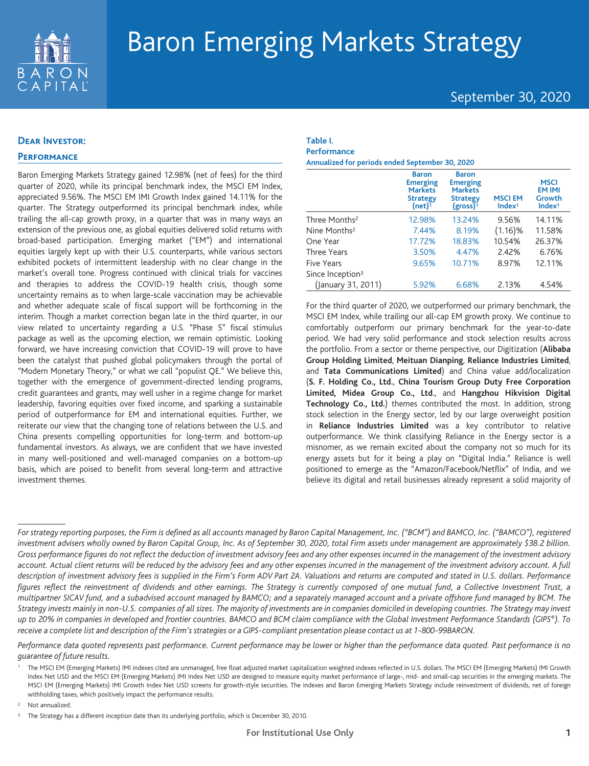

# Baron Emerging Markets Strategy

September 30, 2020

## **Dear Investor:**

## **Performance**

Baron Emerging Markets Strategy gained 12.98% (net of fees) for the third quarter of 2020, while its principal benchmark index, the MSCI EM Index, appreciated 9.56%. The MSCI EM IMI Growth Index gained 14.11% for the quarter. The Strategy outperformed its principal benchmark index, while trailing the all-cap growth proxy, in a quarter that was in many ways an extension of the previous one, as global equities delivered solid returns with broad-based participation. Emerging market ("EM") and international equities largely kept up with their U.S. counterparts, while various sectors exhibited pockets of intermittent leadership with no clear change in the market's overall tone. Progress continued with clinical trials for vaccines and therapies to address the COVID-19 health crisis, though some uncertainty remains as to when large-scale vaccination may be achievable and whether adequate scale of fiscal support will be forthcoming in the interim. Though a market correction began late in the third quarter, in our view related to uncertainty regarding a U.S. "Phase 5" fiscal stimulus package as well as the upcoming election, we remain optimistic. Looking forward, we have increasing conviction that COVID-19 will prove to have been the catalyst that pushed global policymakers through the portal of "Modern Monetary Theory," or what we call "populist QE." We believe this, together with the emergence of government-directed lending programs, credit guarantees and grants, may well usher in a regime change for market leadership, favoring equities over fixed income, and sparking a sustainable period of outperformance for EM and international equities. Further, we reiterate our view that the changing tone of relations between the U.S. and China presents compelling opportunities for long-term and bottom-up fundamental investors. As always, we are confident that we have invested in many well-positioned and well-managed companies on a bottom-up basis, which are poised to benefit from several long-term and attractive investment themes.

#### **Table I. Performance**

**Annualized for periods ended September 30, 2020**

|                              | <b>Baron</b><br><b>Emerging</b><br><b>Markets</b><br><b>Strategy</b><br>$(net)^1$ | <b>Baron</b><br><b>Emerging</b><br><b>Markets</b><br><b>Strategy</b><br>(gross) <sup>1</sup> | <b>MSCIEM</b><br>Index <sup>1</sup> | <b>MSCI</b><br><b>EM IMI</b><br>Growth<br>Index <sup>1</sup> |
|------------------------------|-----------------------------------------------------------------------------------|----------------------------------------------------------------------------------------------|-------------------------------------|--------------------------------------------------------------|
| Three Months <sup>2</sup>    | 12.98%                                                                            | 13.24%                                                                                       | 9.56%                               | 14.11%                                                       |
| Nine Months <sup>2</sup>     | 7.44%                                                                             | 8.19%                                                                                        | $(1.16)$ %                          | 11.58%                                                       |
| One Year                     | 17.72%                                                                            | 18.83%                                                                                       | 10.54%                              | 26.37%                                                       |
| <b>Three Years</b>           | 3.50%                                                                             | 4.47%                                                                                        | 2.42%                               | 6.76%                                                        |
| Five Years                   | 9.65%                                                                             | 10.71%                                                                                       | 8.97%                               | 12.11%                                                       |
| Since Inception <sup>3</sup> |                                                                                   |                                                                                              |                                     |                                                              |
| (January 31, 2011)           | 5.92%                                                                             | 6.68%                                                                                        | 2.13%                               | 4.54%                                                        |

For the third quarter of 2020, we outperformed our primary benchmark, the MSCI EM Index, while trailing our all-cap EM growth proxy. We continue to comfortably outperform our primary benchmark for the year-to-date period. We had very solid performance and stock selection results across the portfolio. From a sector or theme perspective, our Digitization (**Alibaba Group Holding Limited**, **Meituan Dianping**, **Reliance Industries Limited**, and **Tata Communications Limited**) and China value add/localization (**S. F. Holding Co., Ltd.**, **China Tourism Group Duty Free Corporation Limited, Midea Group Co., Ltd.**, and **Hangzhou Hikvision Digital Technology Co., Ltd.**) themes contributed the most. In addition, strong stock selection in the Energy sector, led by our large overweight position in **Reliance Industries Limited** was a key contributor to relative outperformance. We think classifying Reliance in the Energy sector is a misnomer, as we remain excited about the company not so much for its energy assets but for it being a play on "Digital India." Reliance is well positioned to emerge as the "Amazon/Facebook/Netflix" of India, and we believe its digital and retail businesses already represent a solid majority of

*Performance data quoted represents past performance. Current performance may be lower or higher than the performance data quoted. Past performance is no guarantee of future results.*

Not annualized.

*For strategy reporting purposes, the Firm is defined as all accounts managed by Baron Capital Management, Inc. ("BCM") and BAMCO, Inc. ("BAMCO"), registered investment advisers wholly owned by Baron Capital Group, Inc. As of September 30, 2020, total Firm assets under management are approximately \$38.2 billion. Gross performance figures do not reflect the deduction of investment advisory fees and any other expenses incurred in the management of the investment advisory account. Actual client returns will be reduced by the advisory fees and any other expenses incurred in the management of the investment advisory account. A full description of investment advisory fees is supplied in the Firm's Form ADV Part 2A. Valuations and returns are computed and stated in U.S. dollars. Performance figures reflect the reinvestment of dividends and other earnings. The Strategy is currently composed of one mutual fund, a Collective Investment Trust, a multipartner SICAV fund, and a subadvised account managed by BAMCO; and a separately managed account and a private offshore fund managed by BCM. The Strategy invests mainly in non-U.S. companies of all sizes. The majority of investments are in companies domiciled in developing countries. The Strategy may invest up to 20% in companies in developed and frontier countries. BAMCO and BCM claim compliance with the Global Investment Performance Standards (GIPS®). To receive a complete list and description of the Firm's strategies or a GIPS-compliant presentation please contact us at 1-800-99BARON.*

<sup>1</sup> The MSCI EM (Emerging Markets) IMI indexes cited are unmanaged, free float adjusted market capitalization weighted indexes reflected in U.S. dollars. The MSCI EM (Emerging Markets) IMI Growth Index Net USD and the MSCI EM (Emerging Markets) IMI Index Net USD are designed to measure equity market performance of large-, mid- and small-cap securities in the emerging markets. The MSCI EM (Emerging Markets) IMI Growth Index Net USD screens for growth-style securities. The indexes and Baron Emerging Markets Strategy include reinvestment of dividends, net of foreign withholding taxes, which positively impact the performance results.

<sup>&</sup>lt;sup>3</sup> The Strategy has a different inception date than its underlying portfolio, which is December 30, 2010.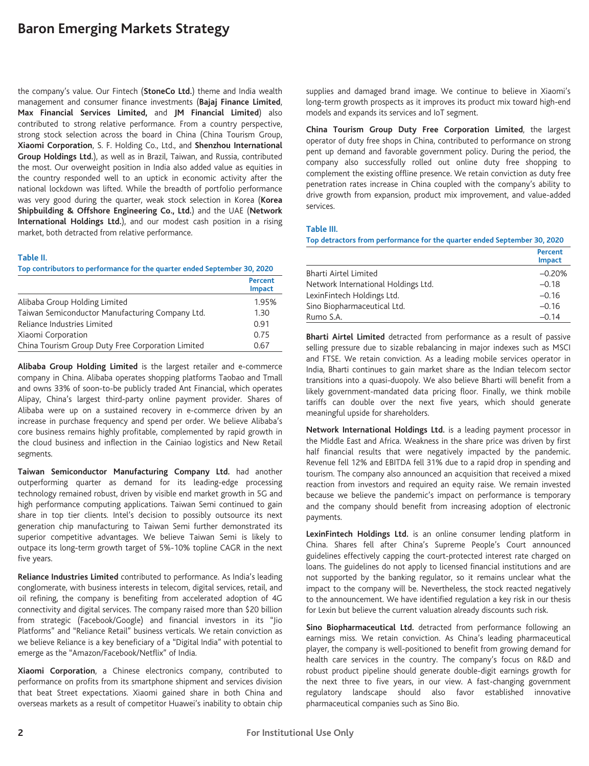# **Baron Emerging Markets Strategy**

the company's value. Our Fintech (**StoneCo Ltd.**) theme and India wealth management and consumer finance investments (**Bajaj Finance Limited**, **Max Financial Services Limited,** and **JM Financial Limited**) also contributed to strong relative performance. From a country perspective, strong stock selection across the board in China (China Tourism Group, **Xiaomi Corporation**, S. F. Holding Co., Ltd., and **Shenzhou International Group Holdings Ltd.**), as well as in Brazil, Taiwan, and Russia, contributed the most. Our overweight position in India also added value as equities in the country responded well to an uptick in economic activity after the national lockdown was lifted. While the breadth of portfolio performance was very good during the quarter, weak stock selection in Korea (**Korea Shipbuilding & Offshore Engineering Co., Ltd.**) and the UAE (**Network International Holdings Ltd.**), and our modest cash position in a rising market, both detracted from relative performance.

#### **Table II.**

**Top contributors to performance for the quarter ended September 30, 2020**

|                                                   | <b>Percent</b><br><b>Impact</b> |
|---------------------------------------------------|---------------------------------|
| Alibaba Group Holding Limited                     | 1.95%                           |
| Taiwan Semiconductor Manufacturing Company Ltd.   | 1.30                            |
| Reliance Industries Limited                       | 0.91                            |
| Xiaomi Corporation                                | 0.75                            |
| China Tourism Group Duty Free Corporation Limited | 0.67                            |

**Alibaba Group Holding Limited** is the largest retailer and e-commerce company in China. Alibaba operates shopping platforms Taobao and Tmall and owns 33% of soon-to-be publicly traded Ant Financial, which operates Alipay, China's largest third-party online payment provider. Shares of Alibaba were up on a sustained recovery in e-commerce driven by an increase in purchase frequency and spend per order. We believe Alibaba's core business remains highly profitable, complemented by rapid growth in the cloud business and inflection in the Cainiao logistics and New Retail segments.

**Taiwan Semiconductor Manufacturing Company Ltd.** had another outperforming quarter as demand for its leading-edge processing technology remained robust, driven by visible end market growth in 5G and high performance computing applications. Taiwan Semi continued to gain share in top tier clients. Intel's decision to possibly outsource its next generation chip manufacturing to Taiwan Semi further demonstrated its superior competitive advantages. We believe Taiwan Semi is likely to outpace its long-term growth target of 5%-10% topline CAGR in the next five years.

**Reliance Industries Limited** contributed to performance. As India's leading conglomerate, with business interests in telecom, digital services, retail, and oil refining, the company is benefiting from accelerated adoption of 4G connectivity and digital services. The company raised more than \$20 billion from strategic (Facebook/Google) and financial investors in its "Jio Platforms" and "Reliance Retail" business verticals. We retain conviction as we believe Reliance is a key beneficiary of a "Digital India" with potential to emerge as the "Amazon/Facebook/Netflix" of India.

**Xiaomi Corporation**, a Chinese electronics company, contributed to performance on profits from its smartphone shipment and services division that beat Street expectations. Xiaomi gained share in both China and overseas markets as a result of competitor Huawei's inability to obtain chip supplies and damaged brand image. We continue to believe in Xiaomi's long-term growth prospects as it improves its product mix toward high-end models and expands its services and IoT segment.

**China Tourism Group Duty Free Corporation Limited**, the largest operator of duty free shops in China, contributed to performance on strong pent up demand and favorable government policy. During the period, the company also successfully rolled out online duty free shopping to complement the existing offline presence. We retain conviction as duty free penetration rates increase in China coupled with the company's ability to drive growth from expansion, product mix improvement, and value-added services.

#### **Table III.**

**Top detractors from performance for the quarter ended September 30, 2020**

|                                     | Percent<br><b>Impact</b> |
|-------------------------------------|--------------------------|
| Bharti Airtel Limited               | $-0.20%$                 |
| Network International Holdings Ltd. | $-0.18$                  |
| LexinFintech Holdings Ltd.          | $-0.16$                  |
| Sino Biopharmaceutical Ltd.         | $-0.16$                  |
| Rumo S.A.                           | $-0.14$                  |

**Bharti Airtel Limited** detracted from performance as a result of passive selling pressure due to sizable rebalancing in major indexes such as MSCI and FTSE. We retain conviction. As a leading mobile services operator in India, Bharti continues to gain market share as the Indian telecom sector transitions into a quasi-duopoly. We also believe Bharti will benefit from a likely government-mandated data pricing floor. Finally, we think mobile tariffs can double over the next five years, which should generate meaningful upside for shareholders.

**Network International Holdings Ltd.** is a leading payment processor in the Middle East and Africa. Weakness in the share price was driven by first half financial results that were negatively impacted by the pandemic. Revenue fell 12% and EBITDA fell 31% due to a rapid drop in spending and tourism. The company also announced an acquisition that received a mixed reaction from investors and required an equity raise. We remain invested because we believe the pandemic's impact on performance is temporary and the company should benefit from increasing adoption of electronic payments.

**LexinFintech Holdings Ltd.** is an online consumer lending platform in China. Shares fell after China's Supreme People's Court announced guidelines effectively capping the court-protected interest rate charged on loans. The guidelines do not apply to licensed financial institutions and are not supported by the banking regulator, so it remains unclear what the impact to the company will be. Nevertheless, the stock reacted negatively to the announcement. We have identified regulation a key risk in our thesis for Lexin but believe the current valuation already discounts such risk.

**Sino Biopharmaceutical Ltd.** detracted from performance following an earnings miss. We retain conviction. As China's leading pharmaceutical player, the company is well-positioned to benefit from growing demand for health care services in the country. The company's focus on R&D and robust product pipeline should generate double-digit earnings growth for the next three to five years, in our view. A fast-changing government regulatory landscape should also favor established innovative pharmaceutical companies such as Sino Bio.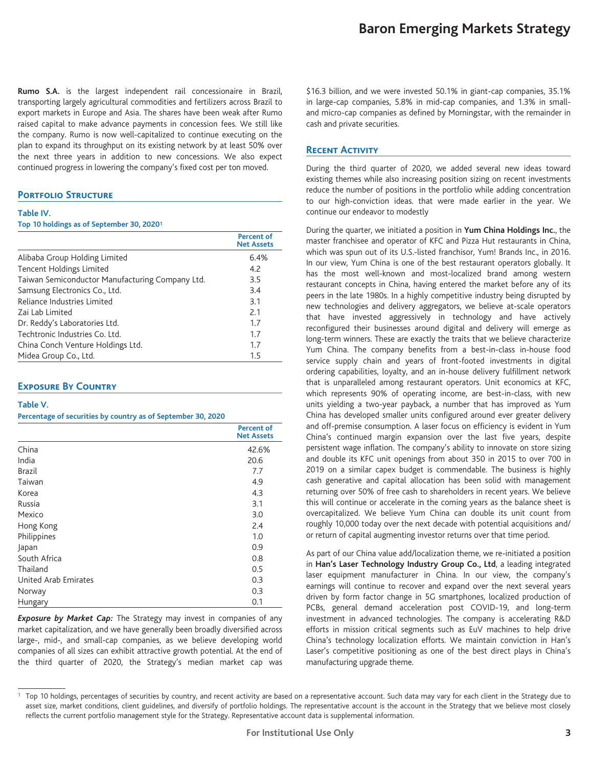**Rumo S.A.** is the largest independent rail concessionaire in Brazil, transporting largely agricultural commodities and fertilizers across Brazil to export markets in Europe and Asia. The shares have been weak after Rumo raised capital to make advance payments in concession fees. We still like the company. Rumo is now well-capitalized to continue executing on the plan to expand its throughput on its existing network by at least 50% over the next three years in addition to new concessions. We also expect continued progress in lowering the company's fixed cost per ton moved.

### **Portfolio Structure**

#### **Table IV.**

#### **Top 10 holdings as of September 30, 20201**

|                                                 | Percent of<br><b>Net Assets</b> |
|-------------------------------------------------|---------------------------------|
| Alibaba Group Holding Limited                   | 6.4%                            |
| Tencent Holdings Limited                        | 4.2                             |
| Taiwan Semiconductor Manufacturing Company Ltd. | 3.5                             |
| Samsung Electronics Co., Ltd.                   | 3.4                             |
| Reliance Industries Limited                     | 3.1                             |
| Zai Lab Limited                                 | 2.1                             |
| Dr. Reddy's Laboratories Ltd.                   | 1.7                             |
| Techtronic Industries Co. Ltd.                  | 1.7                             |
| China Conch Venture Holdings Ltd.               | 1.7                             |
| Midea Group Co., Ltd.                           | 1.5                             |

## **Exposure By Country**

#### **Table V.**

#### **Percentage of securities by country as of September 30, 2020**

|                      | <b>Percent of</b><br><b>Net Assets</b> |
|----------------------|----------------------------------------|
| China                | 42.6%                                  |
| India                | 20.6                                   |
| Brazil               | 7.7                                    |
| Taiwan               | 4.9                                    |
| Korea                | 4.3                                    |
| Russia               | 3.1                                    |
| Mexico               | 3.0                                    |
| Hong Kong            | 2.4                                    |
| Philippines          | 1.0                                    |
| Japan                | 0.9                                    |
| South Africa         | 0.8                                    |
| Thailand             | 0.5                                    |
| United Arab Emirates | 0.3                                    |
| Norway               | 0.3                                    |
| Hungary              | 0.1                                    |

*Exposure by Market Cap:* The Strategy may invest in companies of any market capitalization, and we have generally been broadly diversified across large-, mid-, and small-cap companies, as we believe developing world companies of all sizes can exhibit attractive growth potential. At the end of the third quarter of 2020, the Strategy's median market cap was \$16.3 billion, and we were invested 50.1% in giant-cap companies, 35.1% in large-cap companies, 5.8% in mid-cap companies, and 1.3% in smalland micro-cap companies as defined by Morningstar, with the remainder in cash and private securities.

## **Recent Activity**

During the third quarter of 2020, we added several new ideas toward existing themes while also increasing position sizing on recent investments reduce the number of positions in the portfolio while adding concentration to our high-conviction ideas. that were made earlier in the year. We continue our endeavor to modestly

During the quarter, we initiated a position in **Yum China Holdings Inc.**, the master franchisee and operator of KFC and Pizza Hut restaurants in China, which was spun out of its U.S.-listed franchisor, Yum! Brands Inc., in 2016. In our view, Yum China is one of the best restaurant operators globally. It has the most well-known and most-localized brand among western restaurant concepts in China, having entered the market before any of its peers in the late 1980s. In a highly competitive industry being disrupted by new technologies and delivery aggregators, we believe at-scale operators that have invested aggressively in technology and have actively reconfigured their businesses around digital and delivery will emerge as long-term winners. These are exactly the traits that we believe characterize Yum China. The company benefits from a best-in-class in-house food service supply chain and years of front-footed investments in digital ordering capabilities, loyalty, and an in-house delivery fulfillment network that is unparalleled among restaurant operators. Unit economics at KFC, which represents 90% of operating income, are best-in-class, with new units yielding a two-year payback, a number that has improved as Yum China has developed smaller units configured around ever greater delivery and off-premise consumption. A laser focus on efficiency is evident in Yum China's continued margin expansion over the last five years, despite persistent wage inflation. The company's ability to innovate on store sizing and double its KFC unit openings from about 350 in 2015 to over 700 in 2019 on a similar capex budget is commendable. The business is highly cash generative and capital allocation has been solid with management returning over 50% of free cash to shareholders in recent years. We believe this will continue or accelerate in the coming years as the balance sheet is overcapitalized. We believe Yum China can double its unit count from roughly 10,000 today over the next decade with potential acquisitions and/ or return of capital augmenting investor returns over that time period.

As part of our China value add/localization theme, we re-initiated a position in **Han's Laser Technology Industry Group Co., Ltd**, a leading integrated laser equipment manufacturer in China. In our view, the company's earnings will continue to recover and expand over the next several years driven by form factor change in 5G smartphones, localized production of PCBs, general demand acceleration post COVID-19, and long-term investment in advanced technologies. The company is accelerating R&D efforts in mission critical segments such as EuV machines to help drive China's technology localization efforts. We maintain conviction in Han's Laser's competitive positioning as one of the best direct plays in China's manufacturing upgrade theme.

<sup>&</sup>lt;sup>1</sup> Top 10 holdings, percentages of securities by country, and recent activity are based on a representative account. Such data may vary for each client in the Strategy due to asset size, market conditions, client guidelines, and diversify of portfolio holdings. The representative account is the account in the Strategy that we believe most closely reflects the current portfolio management style for the Strategy. Representative account data is supplemental information.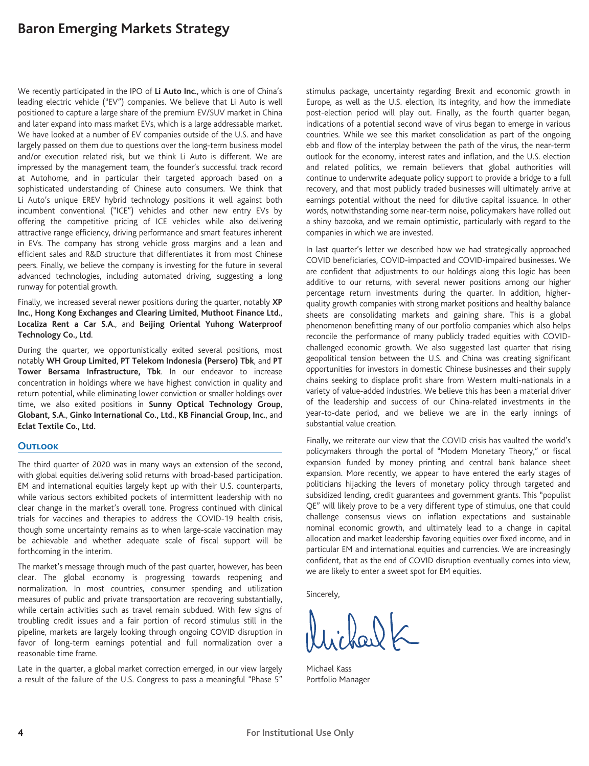## **Baron Emerging Markets Strategy**

We recently participated in the IPO of **Li Auto Inc.**, which is one of China's leading electric vehicle ("EV") companies. We believe that Li Auto is well positioned to capture a large share of the premium EV/SUV market in China and later expand into mass market EVs, which is a large addressable market. We have looked at a number of EV companies outside of the U.S. and have largely passed on them due to questions over the long-term business model and/or execution related risk, but we think Li Auto is different. We are impressed by the management team, the founder's successful track record at Autohome, and in particular their targeted approach based on a sophisticated understanding of Chinese auto consumers. We think that Li Auto's unique EREV hybrid technology positions it well against both incumbent conventional ("ICE") vehicles and other new entry EVs by offering the competitive pricing of ICE vehicles while also delivering attractive range efficiency, driving performance and smart features inherent in EVs. The company has strong vehicle gross margins and a lean and efficient sales and R&D structure that differentiates it from most Chinese peers. Finally, we believe the company is investing for the future in several advanced technologies, including automated driving, suggesting a long runway for potential growth.

Finally, we increased several newer positions during the quarter, notably **XP Inc.**, **Hong Kong Exchanges and Clearing Limited**, **Muthoot Finance Ltd.**, **Localiza Rent a Car S.A.**, and **Beijing Oriental Yuhong Waterproof Technology Co., Ltd**.

During the quarter, we opportunistically exited several positions, most notably **WH Group Limited**, **PT Telekom Indonesia (Persero) Tbk**, and **PT Tower Bersama Infrastructure, Tbk**. In our endeavor to increase concentration in holdings where we have highest conviction in quality and return potential, while eliminating lower conviction or smaller holdings over time, we also exited positions in **Sunny Optical Technology Group**, **Globant, S.A.**, **Ginko International Co., Ltd.**, **KB Financial Group, Inc.**, and **Eclat Textile Co., Ltd.**

## **Outlook**

The third quarter of 2020 was in many ways an extension of the second, with global equities delivering solid returns with broad-based participation. EM and international equities largely kept up with their U.S. counterparts, while various sectors exhibited pockets of intermittent leadership with no clear change in the market's overall tone. Progress continued with clinical trials for vaccines and therapies to address the COVID-19 health crisis, though some uncertainty remains as to when large-scale vaccination may be achievable and whether adequate scale of fiscal support will be forthcoming in the interim.

The market's message through much of the past quarter, however, has been clear. The global economy is progressing towards reopening and normalization. In most countries, consumer spending and utilization measures of public and private transportation are recovering substantially, while certain activities such as travel remain subdued. With few signs of troubling credit issues and a fair portion of record stimulus still in the pipeline, markets are largely looking through ongoing COVID disruption in favor of long-term earnings potential and full normalization over a reasonable time frame.

Late in the quarter, a global market correction emerged, in our view largely a result of the failure of the U.S. Congress to pass a meaningful "Phase 5" stimulus package, uncertainty regarding Brexit and economic growth in Europe, as well as the U.S. election, its integrity, and how the immediate post-election period will play out. Finally, as the fourth quarter began, indications of a potential second wave of virus began to emerge in various countries. While we see this market consolidation as part of the ongoing ebb and flow of the interplay between the path of the virus, the near-term outlook for the economy, interest rates and inflation, and the U.S. election and related politics, we remain believers that global authorities will continue to underwrite adequate policy support to provide a bridge to a full recovery, and that most publicly traded businesses will ultimately arrive at earnings potential without the need for dilutive capital issuance. In other words, notwithstanding some near-term noise, policymakers have rolled out a shiny bazooka, and we remain optimistic, particularly with regard to the companies in which we are invested.

In last quarter's letter we described how we had strategically approached COVID beneficiaries, COVID-impacted and COVID-impaired businesses. We are confident that adjustments to our holdings along this logic has been additive to our returns, with several newer positions among our higher percentage return investments during the quarter. In addition, higherquality growth companies with strong market positions and healthy balance sheets are consolidating markets and gaining share. This is a global phenomenon benefitting many of our portfolio companies which also helps reconcile the performance of many publicly traded equities with COVIDchallenged economic growth. We also suggested last quarter that rising geopolitical tension between the U.S. and China was creating significant opportunities for investors in domestic Chinese businesses and their supply chains seeking to displace profit share from Western multi-nationals in a variety of value-added industries. We believe this has been a material driver of the leadership and success of our China-related investments in the year-to-date period, and we believe we are in the early innings of substantial value creation.

Finally, we reiterate our view that the COVID crisis has vaulted the world's policymakers through the portal of "Modern Monetary Theory," or fiscal expansion funded by money printing and central bank balance sheet expansion. More recently, we appear to have entered the early stages of politicians hijacking the levers of monetary policy through targeted and subsidized lending, credit guarantees and government grants. This "populist QE" will likely prove to be a very different type of stimulus, one that could challenge consensus views on inflation expectations and sustainable nominal economic growth, and ultimately lead to a change in capital allocation and market leadership favoring equities over fixed income, and in particular EM and international equities and currencies. We are increasingly confident, that as the end of COVID disruption eventually comes into view, we are likely to enter a sweet spot for EM equities.

Sincerely,

 $D_{\alpha}DK$ 

Michael Kass Portfolio Manager